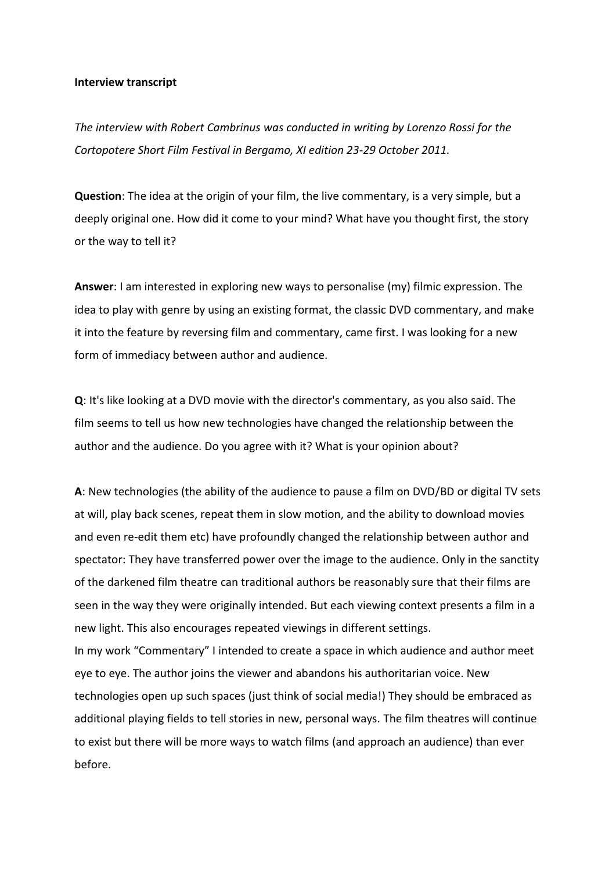## **Interview transcript**

*The interview with Robert Cambrinus was conducted in writing by Lorenzo Rossi for the Cortopotere Short Film Festival in Bergamo, XI edition 23-29 October 2011.*

**Question**: The idea at the origin of your film, the live commentary, is a very simple, but a deeply original one. How did it come to your mind? What have you thought first, the story or the way to tell it?

**Answer**: I am interested in exploring new ways to personalise (my) filmic expression. The idea to play with genre by using an existing format, the classic DVD commentary, and make it into the feature by reversing film and commentary, came first. I was looking for a new form of immediacy between author and audience.

**Q**: It's like looking at a DVD movie with the director's commentary, as you also said. The film seems to tell us how new technologies have changed the relationship between the author and the audience. Do you agree with it? What is your opinion about?

**A**: New technologies (the ability of the audience to pause a film on DVD/BD or digital TV sets at will, play back scenes, repeat them in slow motion, and the ability to download movies and even re-edit them etc) have profoundly changed the relationship between author and spectator: They have transferred power over the image to the audience. Only in the sanctity of the darkened film theatre can traditional authors be reasonably sure that their films are seen in the way they were originally intended. But each viewing context presents a film in a new light. This also encourages repeated viewings in different settings. In my work "Commentary" I intended to create a space in which audience and author meet eye to eye. The author joins the viewer and abandons his authoritarian voice. New technologies open up such spaces (just think of social media!) They should be embraced as additional playing fields to tell stories in new, personal ways. The film theatres will continue to exist but there will be more ways to watch films (and approach an audience) than ever

before.